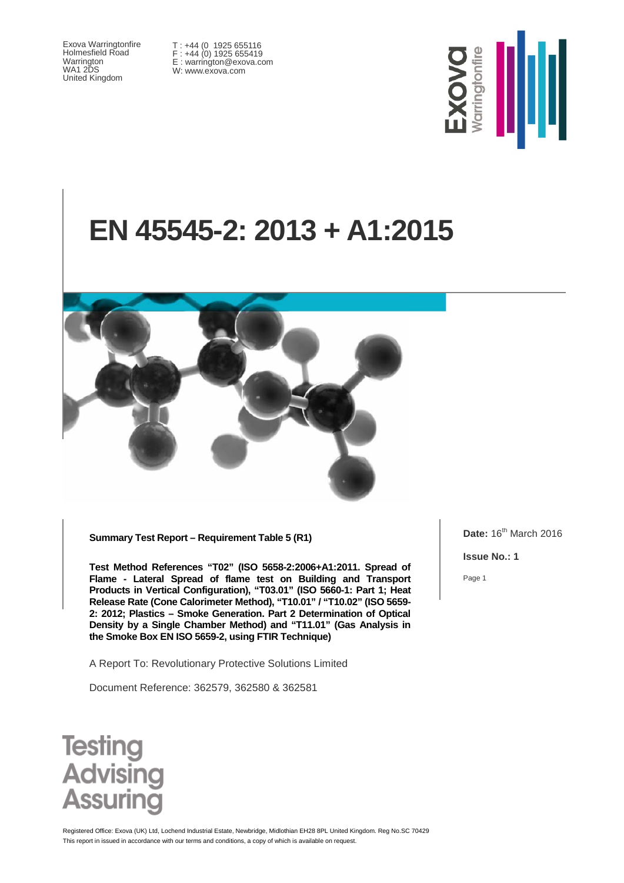Exova Warringtonfire Holmesfield Road Warrington WA1 2DS United Kingdom

T : +44 (0 1925 655116 F : +44 (0) 1925 655419 E : warrington@exova.com W: www.exova.com



# **EN 45545-2: 2013 + A1:2015**



**Summary Test Report – Requirement Table 5 (R1)**

**Test Method References "T02" (ISO 5658-2:2006+A1:2011. Spread of Flame - Lateral Spread of flame test on Building and Transport Products in Vertical Configuration), "T03.01" (ISO 5660-1: Part 1; Heat Release Rate (Cone Calorimeter Method), "T10.01" / "T10.02" (ISO 5659- 2: 2012; Plastics – Smoke Generation. Part 2 Determination of Optical Density by a Single Chamber Method) and "T11.01" (Gas Analysis in the Smoke Box EN ISO 5659-2, using FTIR Technique)**

A Report To: Revolutionary Protective Solutions Limited

Document Reference: 362579, 362580 & 362581

**Date:** 16<sup>th</sup> March 2016

**Issue No.: 1**

Page 1



This report in issued in accordance with our terms and conditions, a copy of which is available on request Registered Office: Exova (UK) Ltd, Lochend Industrial Estate, Newbridge, Midlothian EH28 8PL United Kingdom. Reg No.SC 70429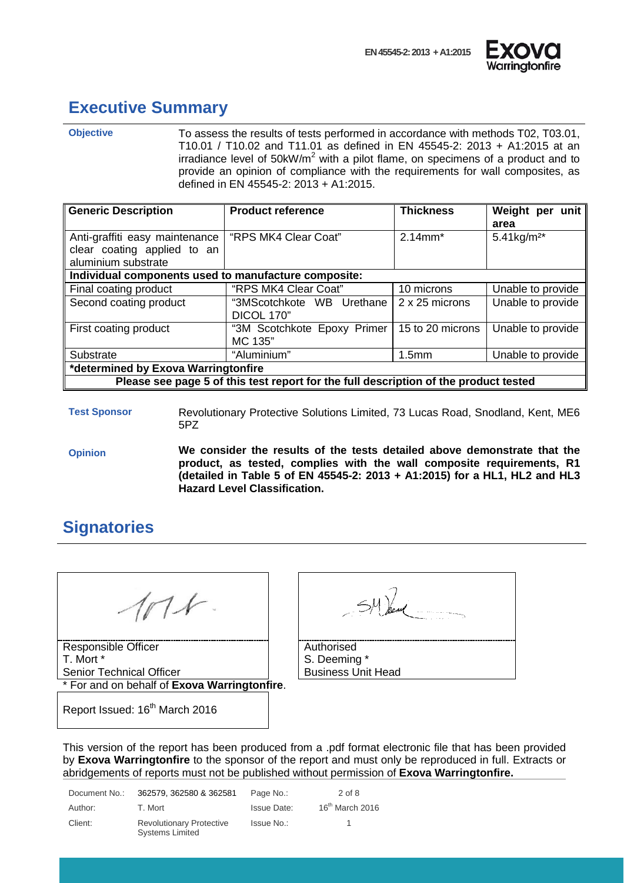



#### <span id="page-1-0"></span>**Executive Summary**

**Objective** To assess the results of tests performed in accordance with methods T02, T03.01, T10.01 / T10.02 and T11.01 as defined in EN 45545-2: 2013 + A1:2015 at an irradiance level of  $50k$ W/m<sup>2</sup> with a pilot flame, on specimens of a product and to provide an opinion of compliance with the requirements for wall composites, as defined in EN 45545-2: 2013 + A1:2015.

| <b>Generic Description</b>                                                           | <b>Product reference</b>                | <b>Thickness</b>  | Weight per unit<br>area   |
|--------------------------------------------------------------------------------------|-----------------------------------------|-------------------|---------------------------|
| Anti-graffiti easy maintenance<br>clear coating applied to an<br>aluminium substrate | "RPS MK4 Clear Coat"                    | $2.14$ mm*        | $5.41$ kg/m <sup>2*</sup> |
| Individual components used to manufacture composite:                                 |                                         |                   |                           |
| Final coating product                                                                | "RPS MK4 Clear Coat"                    | 10 microns        | Unable to provide         |
| Second coating product                                                               | "3MScotchkote WB Urethane<br>DICOL 170" | 2 x 25 microns    | Unable to provide         |
| First coating product                                                                | "3M Scotchkote Epoxy Primer<br>MC 135"  | 15 to 20 microns  | Unable to provide         |
| Substrate                                                                            | "Aluminium"                             | 1.5 <sub>mm</sub> | Unable to provide         |
| *determined by Exova Warringtonfire                                                  |                                         |                   |                           |
| Please see page 5 of this test report for the full description of the product tested |                                         |                   |                           |

**Test Sponsor** Revolutionary Protective Solutions Limited, 73 Lucas Road, Snodland, Kent, ME6 5PZ

**Opinion We consider the results of the tests detailed above demonstrate that the product, as tested, complies with the wall composite requirements, R1 (detailed in Table 5 of EN 45545-2: 2013 + A1:2015) for a HL1, HL2 and HL3 Hazard Level Classification.**

## <span id="page-1-1"></span>**Signatories**

Responsible Officer T. Mort \* Senior Technical Officer

\* For and on behalf of **Exova Warringtonfire**.

| Authorised<br>S. Deeming *<br><b>Business Unit Head</b> |  |
|---------------------------------------------------------|--|

Report Issued: 16<sup>th</sup> March 2016

This version of the report has been produced from a .pdf format electronic file that has been provided by **Exova Warringtonfire** to the sponsor of the report and must only be reproduced in full. Extracts or abridgements of reports must not be published without permission of **Exova Warringtonfire.**

| Document No.: | 362579, 362580 & 362581                                   | Page No.:   | $2$ of 8                    |
|---------------|-----------------------------------------------------------|-------------|-----------------------------|
| Author:       | T. Mort                                                   | Issue Date: | 16 <sup>th</sup> March 2016 |
| Client:       | <b>Revolutionary Protective</b><br><b>Systems Limited</b> | Issue No.:  |                             |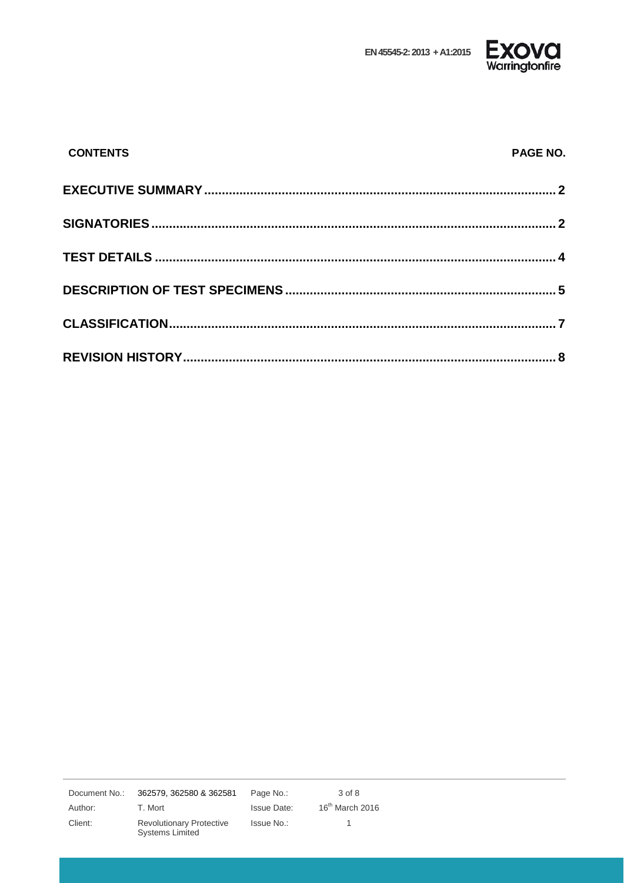

| <b>EXOVCI</b>  |
|----------------|
| Warringtonfire |

| <b>CONTENTS</b> | <b>PAGE NO.</b> |
|-----------------|-----------------|
|                 |                 |
|                 |                 |
|                 |                 |
|                 |                 |
|                 |                 |
|                 |                 |

 $3$  of  $8$ Document No.: 362579, 362580 & 362581 Page No.: Author: T. Mort **Issue Date:**  $16^{th}$  March 2016 Revolutionary Protective<br>Systems Limited Client: Issue No.:  $\overline{1}$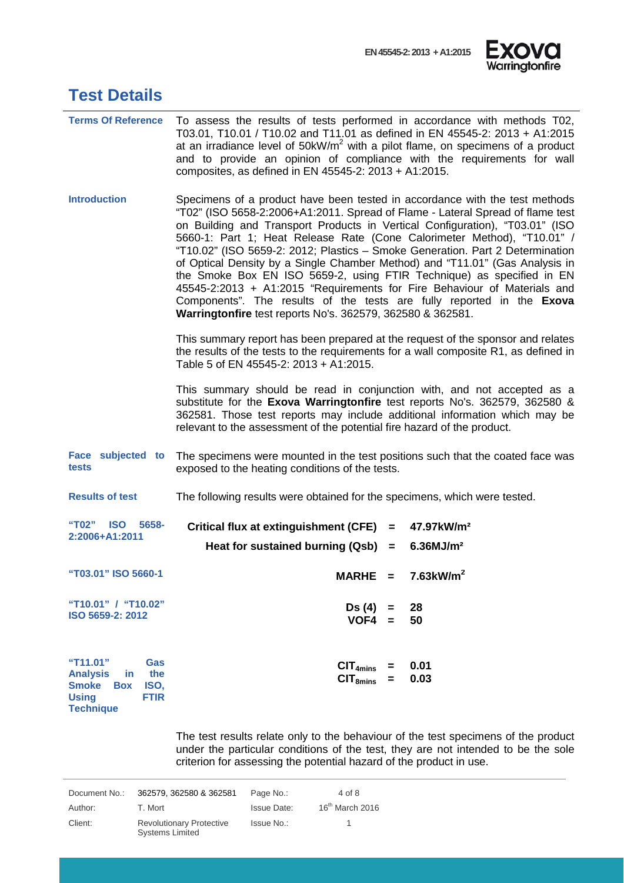

<span id="page-3-0"></span>

| <b>Test Details</b> |  |
|---------------------|--|
|---------------------|--|

| <b>Terms Of Reference</b>                                                                                                                 | To assess the results of tests performed in accordance with methods T02,<br>T03.01, T10.01 / T10.02 and T11.01 as defined in EN 45545-2: 2013 + A1:2015<br>at an irradiance level of 50kW/m <sup>2</sup> with a pilot flame, on specimens of a product<br>and to provide an opinion of compliance with the requirements for wall<br>composites, as defined in EN 45545-2: 2013 + A1:2015.                                                                                                                                                                                                                                                                                                                                                                                             |  |  |
|-------------------------------------------------------------------------------------------------------------------------------------------|---------------------------------------------------------------------------------------------------------------------------------------------------------------------------------------------------------------------------------------------------------------------------------------------------------------------------------------------------------------------------------------------------------------------------------------------------------------------------------------------------------------------------------------------------------------------------------------------------------------------------------------------------------------------------------------------------------------------------------------------------------------------------------------|--|--|
| <b>Introduction</b>                                                                                                                       | Specimens of a product have been tested in accordance with the test methods<br>"T02" (ISO 5658-2:2006+A1:2011. Spread of Flame - Lateral Spread of flame test<br>on Building and Transport Products in Vertical Configuration), "T03.01" (ISO<br>5660-1: Part 1; Heat Release Rate (Cone Calorimeter Method), "T10.01" /<br>"T10.02" (ISO 5659-2: 2012; Plastics - Smoke Generation. Part 2 Determination<br>of Optical Density by a Single Chamber Method) and "T11.01" (Gas Analysis in<br>the Smoke Box EN ISO 5659-2, using FTIR Technique) as specified in EN<br>45545-2:2013 + A1:2015 "Requirements for Fire Behaviour of Materials and<br>Components". The results of the tests are fully reported in the Exova<br>Warringtonfire test reports No's. 362579, 362580 & 362581. |  |  |
|                                                                                                                                           | This summary report has been prepared at the request of the sponsor and relates<br>the results of the tests to the requirements for a wall composite R1, as defined in<br>Table 5 of EN 45545-2: 2013 + A1:2015.                                                                                                                                                                                                                                                                                                                                                                                                                                                                                                                                                                      |  |  |
|                                                                                                                                           | This summary should be read in conjunction with, and not accepted as a<br>substitute for the Exova Warringtonfire test reports No's. 362579, 362580 &<br>362581. Those test reports may include additional information which may be<br>relevant to the assessment of the potential fire hazard of the product.                                                                                                                                                                                                                                                                                                                                                                                                                                                                        |  |  |
| Face subjected to<br>tests                                                                                                                | The specimens were mounted in the test positions such that the coated face was<br>exposed to the heating conditions of the tests.                                                                                                                                                                                                                                                                                                                                                                                                                                                                                                                                                                                                                                                     |  |  |
| <b>Results of test</b>                                                                                                                    | The following results were obtained for the specimens, which were tested.                                                                                                                                                                                                                                                                                                                                                                                                                                                                                                                                                                                                                                                                                                             |  |  |
| "T02" ISO<br>5658-<br>2:2006+A1:2011                                                                                                      | Critical flux at extinguishment (CFE) =<br>47.97kW/m <sup>2</sup><br>Heat for sustained burning $(Qsb) =$<br>$6.36$ MJ/m <sup>2</sup>                                                                                                                                                                                                                                                                                                                                                                                                                                                                                                                                                                                                                                                 |  |  |
| "T03.01" ISO 5660-1                                                                                                                       | $7.63$ kW/m <sup>2</sup><br>$MARHE =$                                                                                                                                                                                                                                                                                                                                                                                                                                                                                                                                                                                                                                                                                                                                                 |  |  |
| "T10.01" / "T10.02"<br>ISO 5659-2: 2012                                                                                                   | Ds (4)<br>28<br>Ξ.<br>$VOF4 =$<br>50                                                                                                                                                                                                                                                                                                                                                                                                                                                                                                                                                                                                                                                                                                                                                  |  |  |
| "T11.01"<br>Gas<br>the<br><b>Analysis</b><br>in.<br><b>Smoke</b><br>ISO,<br><b>Box</b><br><b>FTIR</b><br><b>Using</b><br><b>Technique</b> | CIT <sub>4mins</sub><br>0.01<br>0.03<br>CIT <sub>8mins</sub><br>$=$                                                                                                                                                                                                                                                                                                                                                                                                                                                                                                                                                                                                                                                                                                                   |  |  |

The test results relate only to the behaviour of the test specimens of the product under the particular conditions of the test, they are not intended to be the sole criterion for assessing the potential hazard of the product in use.

| Document No.: | 362579, 362580 & 362581                                   | Page No.:   | 4 of 8            |
|---------------|-----------------------------------------------------------|-------------|-------------------|
| Author:       | T. Mort                                                   | Issue Date: | $16th$ March 2016 |
| Client:       | <b>Revolutionary Protective</b><br><b>Systems Limited</b> | Issue No.:  |                   |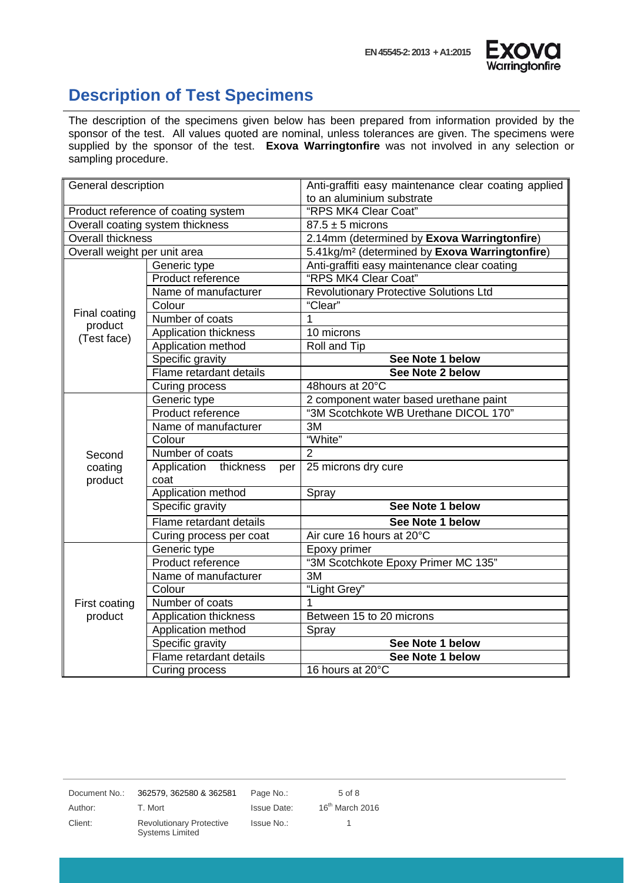

#### <span id="page-4-0"></span>**Description of Test Specimens**

The description of the specimens given below has been prepared from information provided by the sponsor of the test. All values quoted are nominal, unless tolerances are given. The specimens were supplied by the sponsor of the test. **Exova Warringtonfire** was not involved in any selection or sampling procedure.

| General description                 |                              | Anti-graffiti easy maintenance clear coating applied       |
|-------------------------------------|------------------------------|------------------------------------------------------------|
|                                     |                              | to an aluminium substrate                                  |
| Product reference of coating system |                              | "RPS MK4 Clear Coat"                                       |
| Overall coating system thickness    |                              | $87.5 \pm 5$ microns                                       |
| <b>Overall thickness</b>            |                              | 2.14mm (determined by Exova Warringtonfire)                |
| Overall weight per unit area        |                              | 5.41kg/m <sup>2</sup> (determined by Exova Warringtonfire) |
|                                     | Generic type                 | Anti-graffiti easy maintenance clear coating               |
|                                     | Product reference            | "RPS MK4 Clear Coat"                                       |
|                                     | Name of manufacturer         | <b>Revolutionary Protective Solutions Ltd</b>              |
| Final coating                       | Colour                       | "Clear"                                                    |
| product                             | Number of coats              | 1                                                          |
| (Test face)                         | Application thickness        | 10 microns                                                 |
|                                     | Application method           | Roll and Tip                                               |
|                                     | Specific gravity             | See Note 1 below                                           |
|                                     | Flame retardant details      | See Note 2 below                                           |
|                                     | Curing process               | 48hours at 20°C                                            |
|                                     | Generic type                 | 2 component water based urethane paint                     |
|                                     | Product reference            | "3M Scotchkote WB Urethane DICOL 170"                      |
|                                     | Name of manufacturer         | 3M                                                         |
|                                     | Colour                       | "White"                                                    |
| Second                              | Number of coats              | $\overline{2}$                                             |
| coating                             | Application thickness<br>per | 25 microns dry cure                                        |
| product                             | coat                         |                                                            |
|                                     | Application method           | Spray                                                      |
|                                     | Specific gravity             | See Note 1 below                                           |
|                                     | Flame retardant details      | See Note 1 below                                           |
|                                     | Curing process per coat      | Air cure 16 hours at 20°C                                  |
|                                     | Generic type                 | Epoxy primer                                               |
|                                     | Product reference            | "3M Scotchkote Epoxy Primer MC 135"                        |
|                                     | Name of manufacturer         | 3M                                                         |
|                                     | Colour                       | "Light Grey"                                               |
| First coating                       | Number of coats              | 1                                                          |
| product                             | Application thickness        | Between 15 to 20 microns                                   |
|                                     | Application method           | Spray                                                      |
|                                     | Specific gravity             | See Note 1 below                                           |
|                                     | Flame retardant details      | See Note 1 below                                           |
|                                     | Curing process               | 16 hours at 20°C                                           |

Document No.: 362579, 362580 & 362581 Page No.: 5 of 8

Client: Revolutionary Protective Systems Limited

Issue No.: 1

Author: T. Mort Issue Date: 16<sup>th</sup> March 2016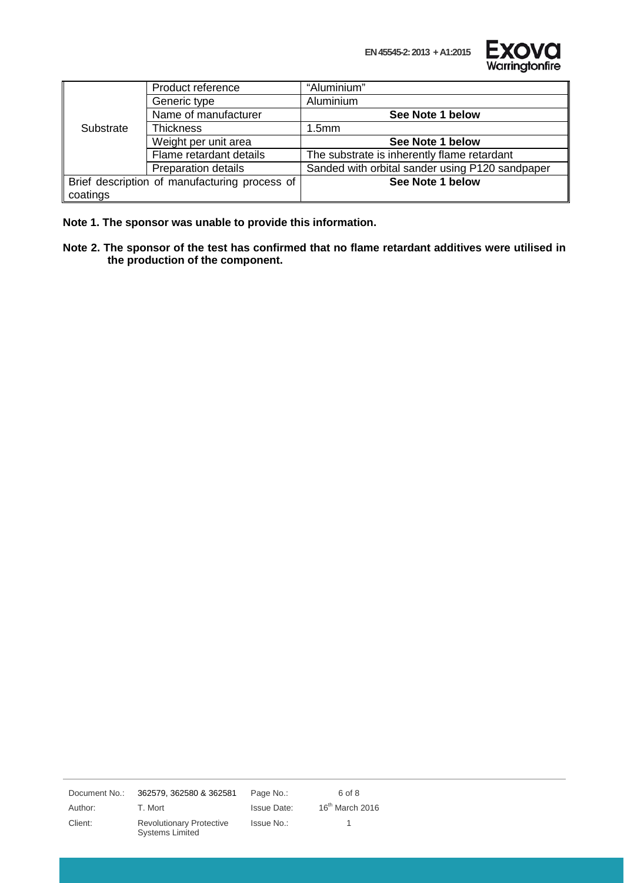**EN 45545-2: 2013 + A1:2015**



|           | Product reference                             | "Aluminium"                                     |
|-----------|-----------------------------------------------|-------------------------------------------------|
|           | Generic type                                  | Aluminium                                       |
|           | Name of manufacturer                          | See Note 1 below                                |
| Substrate | <b>Thickness</b>                              | 1.5 <sub>mm</sub>                               |
|           | Weight per unit area                          | See Note 1 below                                |
|           | Flame retardant details                       | The substrate is inherently flame retardant     |
|           | <b>Preparation details</b>                    | Sanded with orbital sander using P120 sandpaper |
|           | Brief description of manufacturing process of | See Note 1 below                                |
| coatings  |                                               |                                                 |

**Note 1. The sponsor was unable to provide this information.**

**Note 2. The sponsor of the test has confirmed that no flame retardant additives were utilised in the production of the component.**

Document No.: 362579, 362580 & 362581 Page No.: 6 of 8

Client: Revolutionary Protective Systems Limited

Issue No.: 1

Author: T. Mort Issue Date: 16<sup>th</sup> March 2016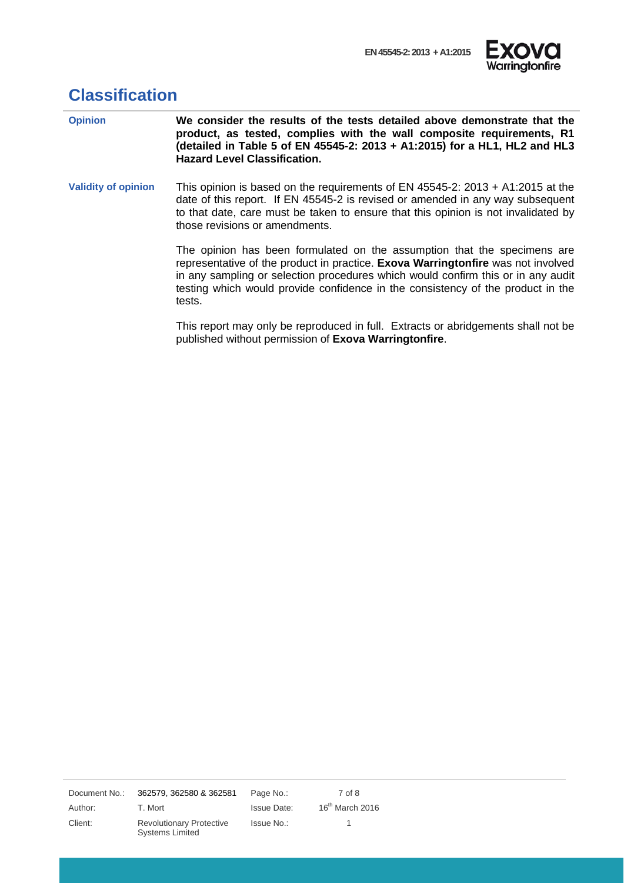

### <span id="page-6-0"></span>**Classification**

| <b>Opinion</b>             | We consider the results of the tests detailed above demonstrate that the<br>product, as tested, complies with the wall composite requirements, R1<br>(detailed in Table 5 of EN 45545-2: 2013 + A1:2015) for a HL1, HL2 and HL3<br><b>Hazard Level Classification.</b>                                                                        |
|----------------------------|-----------------------------------------------------------------------------------------------------------------------------------------------------------------------------------------------------------------------------------------------------------------------------------------------------------------------------------------------|
| <b>Validity of opinion</b> | This opinion is based on the requirements of EN 45545-2: 2013 + A1:2015 at the<br>date of this report. If EN 45545-2 is revised or amended in any way subsequent<br>to that date, care must be taken to ensure that this opinion is not invalidated by<br>those revisions or amendments.                                                      |
|                            | The opinion has been formulated on the assumption that the specimens are<br>representative of the product in practice. Exova Warringtonfire was not involved<br>in any sampling or selection procedures which would confirm this or in any audit<br>testing which would provide confidence in the consistency of the product in the<br>tests. |
|                            | This report may only be reproduced in full. Extracts or abridgements shall not be<br>published without permission of Exova Warringtonfire.                                                                                                                                                                                                    |

Document No.: 362579, 362580 & 362581 Page No.: 7 of 8

Client: Revolutionary Protective Systems Limited

Issue No.: 1

Author: T. Mort Channel Issue Date: 16<sup>th</sup> March 2016